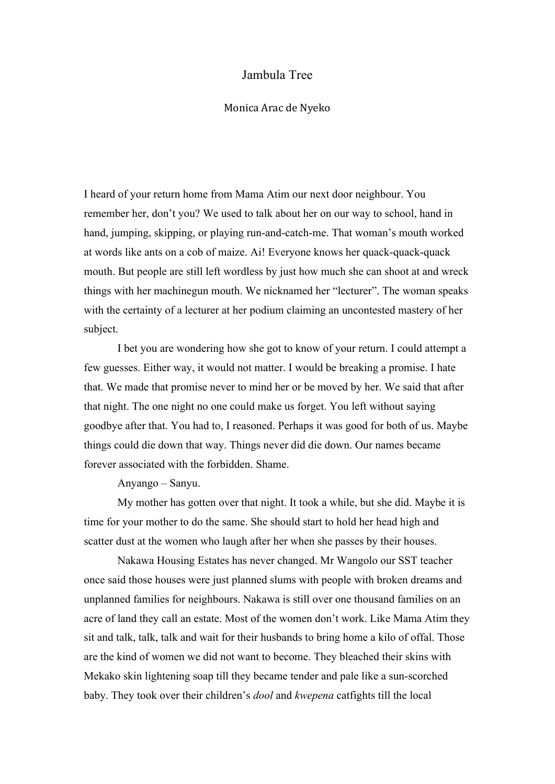## Jambula Tree

## Monica Arac de Nyeko

I heard of your return home from Mama Atim our next door neighbour. You remember her, don't you? We used to talk about her on our way to school, hand in hand, jumping, skipping, or playing run-and-catch-me. That woman's mouth worked at words like ants on a cob of maize. Ai! Everyone knows her quack-quack-quack mouth. But people are still left wordless by just how much she can shoot at and wreck things with her machinegun mouth. We nicknamed her "lecturer". The woman speaks with the certainty of a lecturer at her podium claiming an uncontested mastery of her subject.

I bet you are wondering how she got to know of your return. I could attempt a few guesses. Either way, it would not matter. I would be breaking a promise. I hate that. We made that promise never to mind her or be moved by her. We said that after that night. The one night no one could make us forget. You left without saying goodbye after that. You had to, I reasoned. Perhaps it was good for both of us. Maybe things could die down that way. Things never did die down. Our names became forever associated with the forbidden. Shame.

Anyango – Sanyu.

My mother has gotten over that night. It took a while, but she did. Maybe it is time for your mother to do the same. She should start to hold her head high and scatter dust at the women who laugh after her when she passes by their houses.

Nakawa Housing Estates has never changed. Mr Wangolo our SST teacher once said those houses were just planned slums with people with broken dreams and unplanned families for neighbours. Nakawa is still over one thousand families on an acre of land they call an estate. Most of the women don't work. Like Mama Atim they sit and talk, talk, talk and wait for their husbands to bring home a kilo of offal. Those are the kind of women we did not want to become. They bleached their skins with Mekako skin lightening soap till they became tender and pale like a sun-scorched baby. They took over their children's *dool* and *kwepena* catfights till the local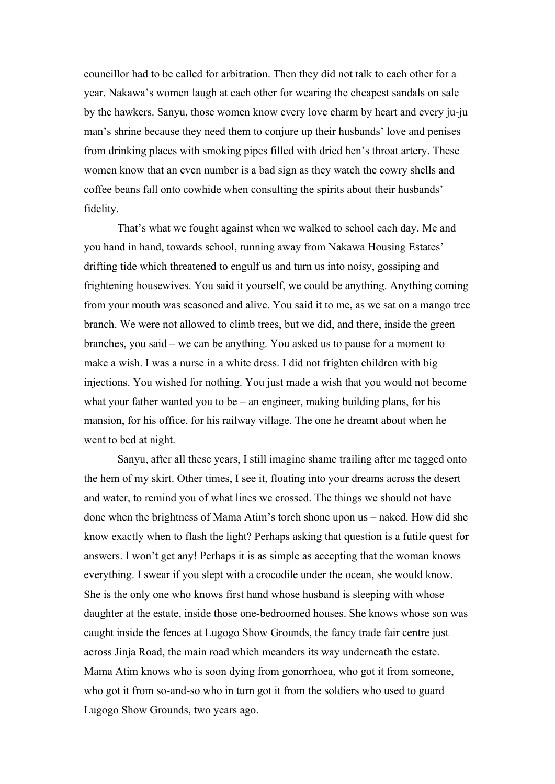councillor had to be called for arbitration. Then they did not talk to each other for a year. Nakawa's women laugh at each other for wearing the cheapest sandals on sale by the hawkers. Sanyu, those women know every love charm by heart and every ju-ju man's shrine because they need them to conjure up their husbands' love and penises from drinking places with smoking pipes filled with dried hen's throat artery. These women know that an even number is a bad sign as they watch the cowry shells and coffee beans fall onto cowhide when consulting the spirits about their husbands' fidelity.

That's what we fought against when we walked to school each day. Me and you hand in hand, towards school, running away from Nakawa Housing Estates' drifting tide which threatened to engulf us and turn us into noisy, gossiping and frightening housewives. You said it yourself, we could be anything. Anything coming from your mouth was seasoned and alive. You said it to me, as we sat on a mango tree branch. We were not allowed to climb trees, but we did, and there, inside the green branches, you said – we can be anything. You asked us to pause for a moment to make a wish. I was a nurse in a white dress. I did not frighten children with big injections. You wished for nothing. You just made a wish that you would not become what your father wanted you to be – an engineer, making building plans, for his mansion, for his office, for his railway village. The one he dreamt about when he went to bed at night.

Sanyu, after all these years, I still imagine shame trailing after me tagged onto the hem of my skirt. Other times, I see it, floating into your dreams across the desert and water, to remind you of what lines we crossed. The things we should not have done when the brightness of Mama Atim's torch shone upon us – naked. How did she know exactly when to flash the light? Perhaps asking that question is a futile quest for answers. I won't get any! Perhaps it is as simple as accepting that the woman knows everything. I swear if you slept with a crocodile under the ocean, she would know. She is the only one who knows first hand whose husband is sleeping with whose daughter at the estate, inside those one-bedroomed houses. She knows whose son was caught inside the fences at Lugogo Show Grounds, the fancy trade fair centre just across Jinja Road, the main road which meanders its way underneath the estate. Mama Atim knows who is soon dying from gonorrhoea, who got it from someone, who got it from so-and-so who in turn got it from the soldiers who used to guard Lugogo Show Grounds, two years ago.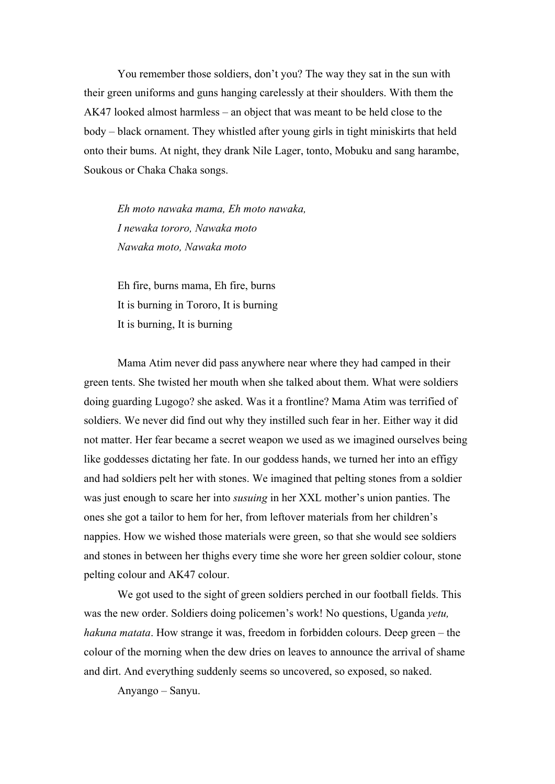You remember those soldiers, don't you? The way they sat in the sun with their green uniforms and guns hanging carelessly at their shoulders. With them the AK47 looked almost harmless – an object that was meant to be held close to the body – black ornament. They whistled after young girls in tight miniskirts that held onto their bums. At night, they drank Nile Lager, tonto, Mobuku and sang harambe, Soukous or Chaka Chaka songs.

*Eh moto nawaka mama, Eh moto nawaka, I newaka tororo, Nawaka moto Nawaka moto, Nawaka moto* 

Eh fire, burns mama, Eh fire, burns It is burning in Tororo, It is burning It is burning, It is burning

Mama Atim never did pass anywhere near where they had camped in their green tents. She twisted her mouth when she talked about them. What were soldiers doing guarding Lugogo? she asked. Was it a frontline? Mama Atim was terrified of soldiers. We never did find out why they instilled such fear in her. Either way it did not matter. Her fear became a secret weapon we used as we imagined ourselves being like goddesses dictating her fate. In our goddess hands, we turned her into an effigy and had soldiers pelt her with stones. We imagined that pelting stones from a soldier was just enough to scare her into *susuing* in her XXL mother's union panties. The ones she got a tailor to hem for her, from leftover materials from her children's nappies. How we wished those materials were green, so that she would see soldiers and stones in between her thighs every time she wore her green soldier colour, stone pelting colour and AK47 colour.

We got used to the sight of green soldiers perched in our football fields. This was the new order. Soldiers doing policemen's work! No questions, Uganda *yetu, hakuna matata*. How strange it was, freedom in forbidden colours. Deep green – the colour of the morning when the dew dries on leaves to announce the arrival of shame and dirt. And everything suddenly seems so uncovered, so exposed, so naked.

Anyango – Sanyu.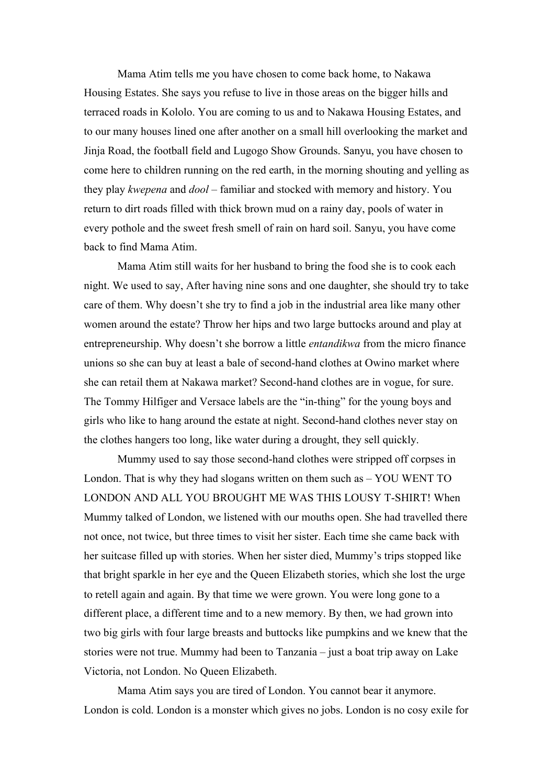Mama Atim tells me you have chosen to come back home, to Nakawa Housing Estates. She says you refuse to live in those areas on the bigger hills and terraced roads in Kololo. You are coming to us and to Nakawa Housing Estates, and to our many houses lined one after another on a small hill overlooking the market and Jinja Road, the football field and Lugogo Show Grounds. Sanyu, you have chosen to come here to children running on the red earth, in the morning shouting and yelling as they play *kwepena* and *dool* – familiar and stocked with memory and history. You return to dirt roads filled with thick brown mud on a rainy day, pools of water in every pothole and the sweet fresh smell of rain on hard soil. Sanyu, you have come back to find Mama Atim.

Mama Atim still waits for her husband to bring the food she is to cook each night. We used to say, After having nine sons and one daughter, she should try to take care of them. Why doesn't she try to find a job in the industrial area like many other women around the estate? Throw her hips and two large buttocks around and play at entrepreneurship. Why doesn't she borrow a little *entandikwa* from the micro finance unions so she can buy at least a bale of second-hand clothes at Owino market where she can retail them at Nakawa market? Second-hand clothes are in vogue, for sure. The Tommy Hilfiger and Versace labels are the "in-thing" for the young boys and girls who like to hang around the estate at night. Second-hand clothes never stay on the clothes hangers too long, like water during a drought, they sell quickly.

Mummy used to say those second-hand clothes were stripped off corpses in London. That is why they had slogans written on them such as – YOU WENT TO LONDON AND ALL YOU BROUGHT ME WAS THIS LOUSY T-SHIRT! When Mummy talked of London, we listened with our mouths open. She had travelled there not once, not twice, but three times to visit her sister. Each time she came back with her suitcase filled up with stories. When her sister died, Mummy's trips stopped like that bright sparkle in her eye and the Queen Elizabeth stories, which she lost the urge to retell again and again. By that time we were grown. You were long gone to a different place, a different time and to a new memory. By then, we had grown into two big girls with four large breasts and buttocks like pumpkins and we knew that the stories were not true. Mummy had been to Tanzania – just a boat trip away on Lake Victoria, not London. No Queen Elizabeth.

Mama Atim says you are tired of London. You cannot bear it anymore. London is cold. London is a monster which gives no jobs. London is no cosy exile for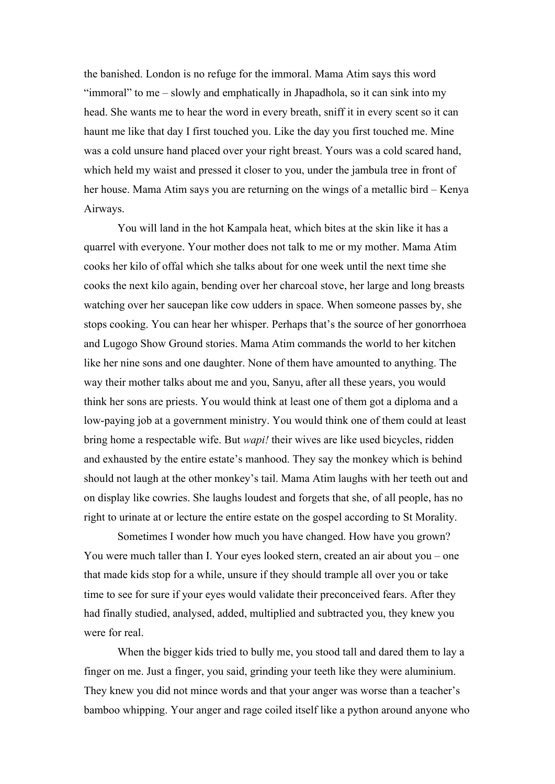the banished. London is no refuge for the immoral. Mama Atim says this word "immoral" to me – slowly and emphatically in Jhapadhola, so it can sink into my head. She wants me to hear the word in every breath, sniff it in every scent so it can haunt me like that day I first touched you. Like the day you first touched me. Mine was a cold unsure hand placed over your right breast. Yours was a cold scared hand, which held my waist and pressed it closer to you, under the jambula tree in front of her house. Mama Atim says you are returning on the wings of a metallic bird – Kenya Airways.

You will land in the hot Kampala heat, which bites at the skin like it has a quarrel with everyone. Your mother does not talk to me or my mother. Mama Atim cooks her kilo of offal which she talks about for one week until the next time she cooks the next kilo again, bending over her charcoal stove, her large and long breasts watching over her saucepan like cow udders in space. When someone passes by, she stops cooking. You can hear her whisper. Perhaps that's the source of her gonorrhoea and Lugogo Show Ground stories. Mama Atim commands the world to her kitchen like her nine sons and one daughter. None of them have amounted to anything. The way their mother talks about me and you, Sanyu, after all these years, you would think her sons are priests. You would think at least one of them got a diploma and a low-paying job at a government ministry. You would think one of them could at least bring home a respectable wife. But *wapi!* their wives are like used bicycles, ridden and exhausted by the entire estate's manhood. They say the monkey which is behind should not laugh at the other monkey's tail. Mama Atim laughs with her teeth out and on display like cowries. She laughs loudest and forgets that she, of all people, has no right to urinate at or lecture the entire estate on the gospel according to St Morality.

Sometimes I wonder how much you have changed. How have you grown? You were much taller than I. Your eyes looked stern, created an air about you – one that made kids stop for a while, unsure if they should trample all over you or take time to see for sure if your eyes would validate their preconceived fears. After they had finally studied, analysed, added, multiplied and subtracted you, they knew you were for real.

When the bigger kids tried to bully me, you stood tall and dared them to lay a finger on me. Just a finger, you said, grinding your teeth like they were aluminium. They knew you did not mince words and that your anger was worse than a teacher's bamboo whipping. Your anger and rage coiled itself like a python around anyone who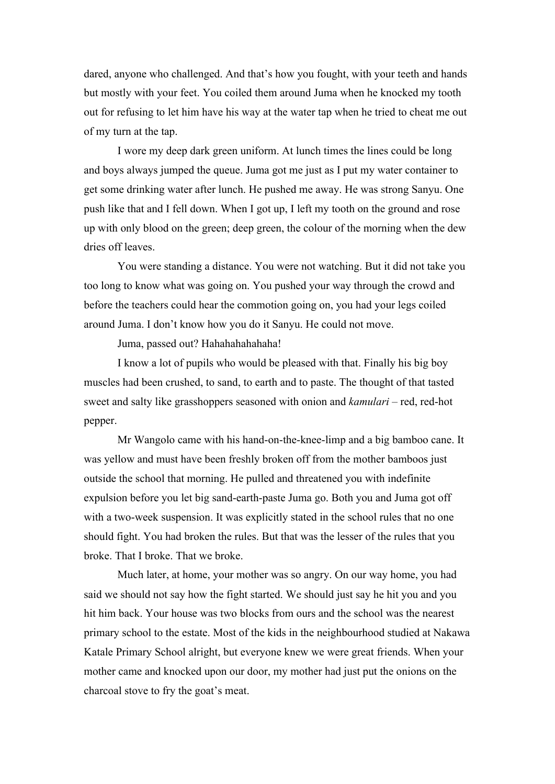dared, anyone who challenged. And that's how you fought, with your teeth and hands but mostly with your feet. You coiled them around Juma when he knocked my tooth out for refusing to let him have his way at the water tap when he tried to cheat me out of my turn at the tap.

I wore my deep dark green uniform. At lunch times the lines could be long and boys always jumped the queue. Juma got me just as I put my water container to get some drinking water after lunch. He pushed me away. He was strong Sanyu. One push like that and I fell down. When I got up, I left my tooth on the ground and rose up with only blood on the green; deep green, the colour of the morning when the dew dries off leaves.

You were standing a distance. You were not watching. But it did not take you too long to know what was going on. You pushed your way through the crowd and before the teachers could hear the commotion going on, you had your legs coiled around Juma. I don't know how you do it Sanyu. He could not move.

Juma, passed out? Hahahahahahaha!

I know a lot of pupils who would be pleased with that. Finally his big boy muscles had been crushed, to sand, to earth and to paste. The thought of that tasted sweet and salty like grasshoppers seasoned with onion and *kamulari* – red, red-hot pepper.

Mr Wangolo came with his hand-on-the-knee-limp and a big bamboo cane. It was yellow and must have been freshly broken off from the mother bamboos just outside the school that morning. He pulled and threatened you with indefinite expulsion before you let big sand-earth-paste Juma go. Both you and Juma got off with a two-week suspension. It was explicitly stated in the school rules that no one should fight. You had broken the rules. But that was the lesser of the rules that you broke. That I broke. That we broke.

Much later, at home, your mother was so angry. On our way home, you had said we should not say how the fight started. We should just say he hit you and you hit him back. Your house was two blocks from ours and the school was the nearest primary school to the estate. Most of the kids in the neighbourhood studied at Nakawa Katale Primary School alright, but everyone knew we were great friends. When your mother came and knocked upon our door, my mother had just put the onions on the charcoal stove to fry the goat's meat.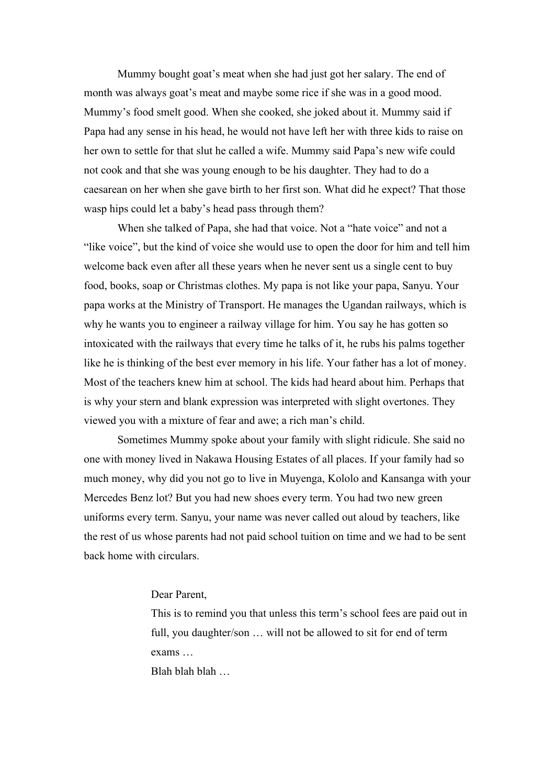Mummy bought goat's meat when she had just got her salary. The end of month was always goat's meat and maybe some rice if she was in a good mood. Mummy's food smelt good. When she cooked, she joked about it. Mummy said if Papa had any sense in his head, he would not have left her with three kids to raise on her own to settle for that slut he called a wife. Mummy said Papa's new wife could not cook and that she was young enough to be his daughter. They had to do a caesarean on her when she gave birth to her first son. What did he expect? That those wasp hips could let a baby's head pass through them?

When she talked of Papa, she had that voice. Not a "hate voice" and not a "like voice", but the kind of voice she would use to open the door for him and tell him welcome back even after all these years when he never sent us a single cent to buy food, books, soap or Christmas clothes. My papa is not like your papa, Sanyu. Your papa works at the Ministry of Transport. He manages the Ugandan railways, which is why he wants you to engineer a railway village for him. You say he has gotten so intoxicated with the railways that every time he talks of it, he rubs his palms together like he is thinking of the best ever memory in his life. Your father has a lot of money. Most of the teachers knew him at school. The kids had heard about him. Perhaps that is why your stern and blank expression was interpreted with slight overtones. They viewed you with a mixture of fear and awe; a rich man's child.

Sometimes Mummy spoke about your family with slight ridicule. She said no one with money lived in Nakawa Housing Estates of all places. If your family had so much money, why did you not go to live in Muyenga, Kololo and Kansanga with your Mercedes Benz lot? But you had new shoes every term. You had two new green uniforms every term. Sanyu, your name was never called out aloud by teachers, like the rest of us whose parents had not paid school tuition on time and we had to be sent back home with circulars.

## Dear Parent,

This is to remind you that unless this term's school fees are paid out in full, you daughter/son ... will not be allowed to sit for end of term exams

Blah blah blah …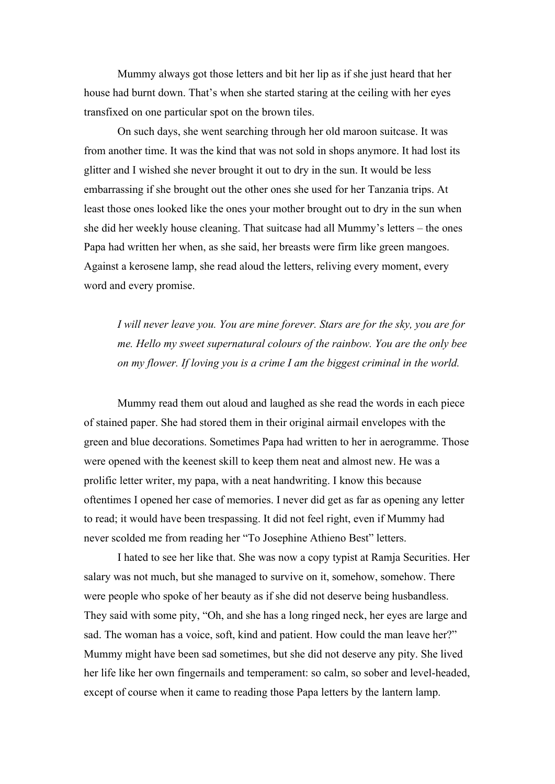Mummy always got those letters and bit her lip as if she just heard that her house had burnt down. That's when she started staring at the ceiling with her eyes transfixed on one particular spot on the brown tiles.

On such days, she went searching through her old maroon suitcase. It was from another time. It was the kind that was not sold in shops anymore. It had lost its glitter and I wished she never brought it out to dry in the sun. It would be less embarrassing if she brought out the other ones she used for her Tanzania trips. At least those ones looked like the ones your mother brought out to dry in the sun when she did her weekly house cleaning. That suitcase had all Mummy's letters – the ones Papa had written her when, as she said, her breasts were firm like green mangoes. Against a kerosene lamp, she read aloud the letters, reliving every moment, every word and every promise.

*I will never leave you. You are mine forever. Stars are for the sky, you are for me. Hello my sweet supernatural colours of the rainbow. You are the only bee on my flower. If loving you is a crime I am the biggest criminal in the world.*

Mummy read them out aloud and laughed as she read the words in each piece of stained paper. She had stored them in their original airmail envelopes with the green and blue decorations. Sometimes Papa had written to her in aerogramme. Those were opened with the keenest skill to keep them neat and almost new. He was a prolific letter writer, my papa, with a neat handwriting. I know this because oftentimes I opened her case of memories. I never did get as far as opening any letter to read; it would have been trespassing. It did not feel right, even if Mummy had never scolded me from reading her "To Josephine Athieno Best" letters.

I hated to see her like that. She was now a copy typist at Ramja Securities. Her salary was not much, but she managed to survive on it, somehow, somehow. There were people who spoke of her beauty as if she did not deserve being husbandless. They said with some pity, "Oh, and she has a long ringed neck, her eyes are large and sad. The woman has a voice, soft, kind and patient. How could the man leave her?" Mummy might have been sad sometimes, but she did not deserve any pity. She lived her life like her own fingernails and temperament: so calm, so sober and level-headed, except of course when it came to reading those Papa letters by the lantern lamp.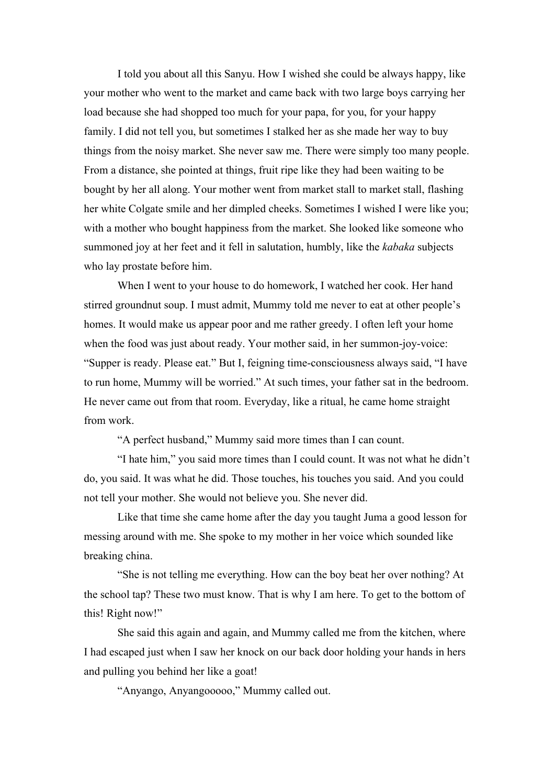I told you about all this Sanyu. How I wished she could be always happy, like your mother who went to the market and came back with two large boys carrying her load because she had shopped too much for your papa, for you, for your happy family. I did not tell you, but sometimes I stalked her as she made her way to buy things from the noisy market. She never saw me. There were simply too many people. From a distance, she pointed at things, fruit ripe like they had been waiting to be bought by her all along. Your mother went from market stall to market stall, flashing her white Colgate smile and her dimpled cheeks. Sometimes I wished I were like you; with a mother who bought happiness from the market. She looked like someone who summoned joy at her feet and it fell in salutation, humbly, like the *kabaka* subjects who lay prostate before him.

When I went to your house to do homework, I watched her cook. Her hand stirred groundnut soup. I must admit, Mummy told me never to eat at other people's homes. It would make us appear poor and me rather greedy. I often left your home when the food was just about ready. Your mother said, in her summon-joy-voice: "Supper is ready. Please eat." But I, feigning time-consciousness always said, "I have to run home, Mummy will be worried." At such times, your father sat in the bedroom. He never came out from that room. Everyday, like a ritual, he came home straight from work.

"A perfect husband," Mummy said more times than I can count.

"I hate him," you said more times than I could count. It was not what he didn't do, you said. It was what he did. Those touches, his touches you said. And you could not tell your mother. She would not believe you. She never did.

Like that time she came home after the day you taught Juma a good lesson for messing around with me. She spoke to my mother in her voice which sounded like breaking china.

"She is not telling me everything. How can the boy beat her over nothing? At the school tap? These two must know. That is why I am here. To get to the bottom of this! Right now!"

She said this again and again, and Mummy called me from the kitchen, where I had escaped just when I saw her knock on our back door holding your hands in hers and pulling you behind her like a goat!

"Anyango, Anyangooooo," Mummy called out.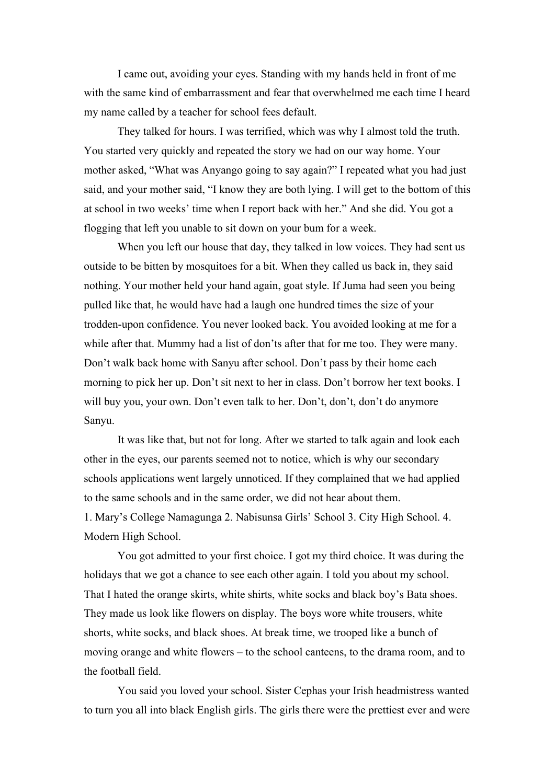I came out, avoiding your eyes. Standing with my hands held in front of me with the same kind of embarrassment and fear that overwhelmed me each time I heard my name called by a teacher for school fees default.

They talked for hours. I was terrified, which was why I almost told the truth. You started very quickly and repeated the story we had on our way home. Your mother asked, "What was Anyango going to say again?" I repeated what you had just said, and your mother said, "I know they are both lying. I will get to the bottom of this at school in two weeks' time when I report back with her." And she did. You got a flogging that left you unable to sit down on your bum for a week.

When you left our house that day, they talked in low voices. They had sent us outside to be bitten by mosquitoes for a bit. When they called us back in, they said nothing. Your mother held your hand again, goat style. If Juma had seen you being pulled like that, he would have had a laugh one hundred times the size of your trodden-upon confidence. You never looked back. You avoided looking at me for a while after that. Mummy had a list of don'ts after that for me too. They were many. Don't walk back home with Sanyu after school. Don't pass by their home each morning to pick her up. Don't sit next to her in class. Don't borrow her text books. I will buy you, your own. Don't even talk to her. Don't, don't, don't do anymore Sanyu.

It was like that, but not for long. After we started to talk again and look each other in the eyes, our parents seemed not to notice, which is why our secondary schools applications went largely unnoticed. If they complained that we had applied to the same schools and in the same order, we did not hear about them. 1. Mary's College Namagunga 2. Nabisunsa Girls' School 3. City High School. 4. Modern High School.

You got admitted to your first choice. I got my third choice. It was during the holidays that we got a chance to see each other again. I told you about my school. That I hated the orange skirts, white shirts, white socks and black boy's Bata shoes. They made us look like flowers on display. The boys wore white trousers, white shorts, white socks, and black shoes. At break time, we trooped like a bunch of moving orange and white flowers – to the school canteens, to the drama room, and to the football field.

You said you loved your school. Sister Cephas your Irish headmistress wanted to turn you all into black English girls. The girls there were the prettiest ever and were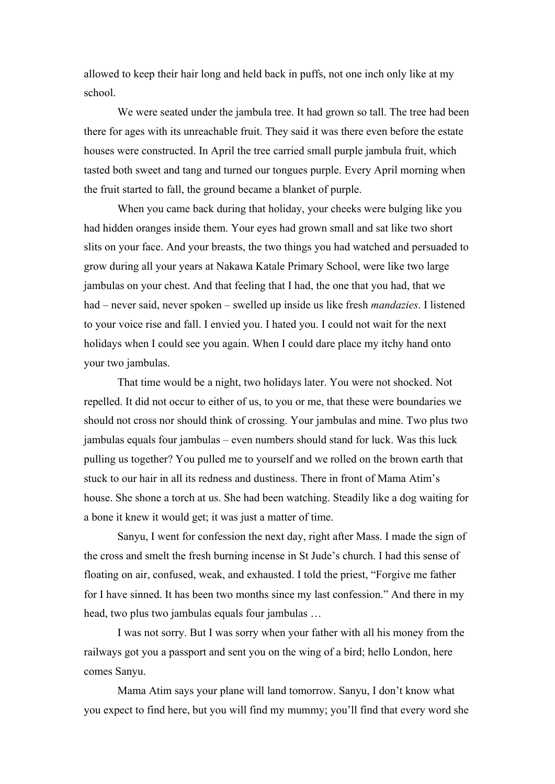allowed to keep their hair long and held back in puffs, not one inch only like at my school.

We were seated under the jambula tree. It had grown so tall. The tree had been there for ages with its unreachable fruit. They said it was there even before the estate houses were constructed. In April the tree carried small purple jambula fruit, which tasted both sweet and tang and turned our tongues purple. Every April morning when the fruit started to fall, the ground became a blanket of purple.

When you came back during that holiday, your cheeks were bulging like you had hidden oranges inside them. Your eyes had grown small and sat like two short slits on your face. And your breasts, the two things you had watched and persuaded to grow during all your years at Nakawa Katale Primary School, were like two large jambulas on your chest. And that feeling that I had, the one that you had, that we had – never said, never spoken – swelled up inside us like fresh *mandazies*. I listened to your voice rise and fall. I envied you. I hated you. I could not wait for the next holidays when I could see you again. When I could dare place my itchy hand onto your two jambulas.

That time would be a night, two holidays later. You were not shocked. Not repelled. It did not occur to either of us, to you or me, that these were boundaries we should not cross nor should think of crossing. Your jambulas and mine. Two plus two jambulas equals four jambulas – even numbers should stand for luck. Was this luck pulling us together? You pulled me to yourself and we rolled on the brown earth that stuck to our hair in all its redness and dustiness. There in front of Mama Atim's house. She shone a torch at us. She had been watching. Steadily like a dog waiting for a bone it knew it would get; it was just a matter of time.

Sanyu, I went for confession the next day, right after Mass. I made the sign of the cross and smelt the fresh burning incense in St Jude's church. I had this sense of floating on air, confused, weak, and exhausted. I told the priest, "Forgive me father for I have sinned. It has been two months since my last confession." And there in my head, two plus two jambulas equals four jambulas …

I was not sorry. But I was sorry when your father with all his money from the railways got you a passport and sent you on the wing of a bird; hello London, here comes Sanyu.

Mama Atim says your plane will land tomorrow. Sanyu, I don't know what you expect to find here, but you will find my mummy; you'll find that every word she